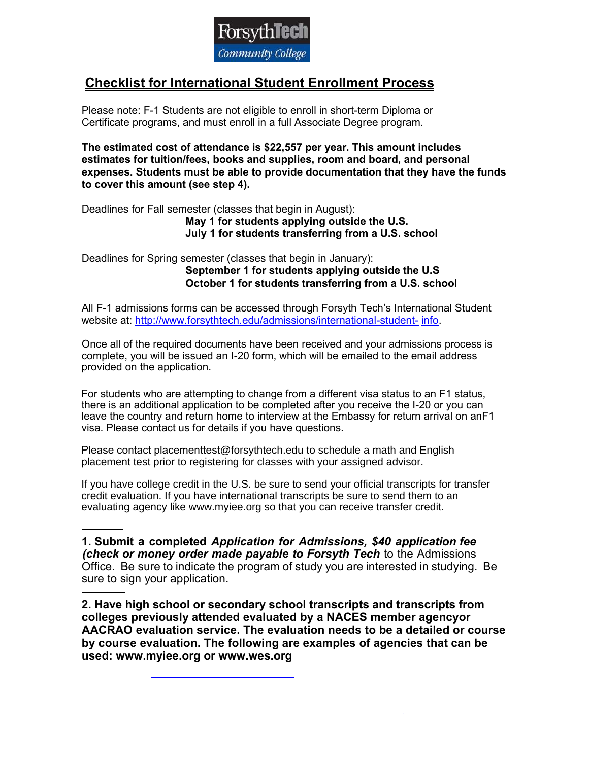

## **Checklist for International Student Enrollment Process**

Please note: F-1 Students are not eligible to enroll in short-term Diploma or Certificate programs, and must enroll in a full Associate Degree program.

**The estimated cost of attendance is \$22,557 per year. This amount includes estimates for tuition/fees, books and supplies, room and board, and personal expenses. Students must be able to provide documentation that they have the funds to cover this amount (see step 4).**

Deadlines for Fall semester (classes that begin in August):

**May 1 for students applying outside the U.S. July 1 for students transferring from a U.S. school**

Deadlines for Spring semester (classes that begin in January): **September 1 for students applying outside the U.S October 1 for students transferring from a U.S. school**

All F-1 admissions forms can be accessed through Forsyth Tech's International Student website at: [http://www.forsythtech.edu/admissions/international-student-](http://www.forsythtech.edu/admissions/international-student-info) [info.](http://www.forsythtech.edu/admissions/international-student-info)

Once all of the required documents have been received and your admissions process is complete, you will be issued an I-20 form, which will be emailed to the email address provided on the application.

For students who are attempting to change from a different visa status to an F1 status. there is an additional application to be completed after you receive the I-20 or you can leave the country and return home to interview at the Embassy for return arrival on anF1 visa. Please contact us for details if you have questions.

Please contact placementtest@forsythtech.edu to schedule a math and English placement test prior to registering for classes with your assigned advisor.

If you have college credit in the U.S. be sure to send your official transcripts for transfer credit evaluation. If you have international transcripts be sure to send them to an evaluating agency like www.myiee.org so that you can receive transfer credit.

 **1. Submit a completed** *Application for Admissions, \$40 application fee (check or money order made payable to Forsyth Tech* to the Admissions Office. Be sure to indicate the program of study you are interested in studying. Be sure to sign your application.

**2. Have high school or secondary school transcripts and transcripts from colleges previously attended evaluated by a NACES member agencyor AACRAO evaluation service. The evaluation needs to be a detailed or course by course evaluation. The following are examples of agencies that can be used: www.myiee.org or www.wes.org**